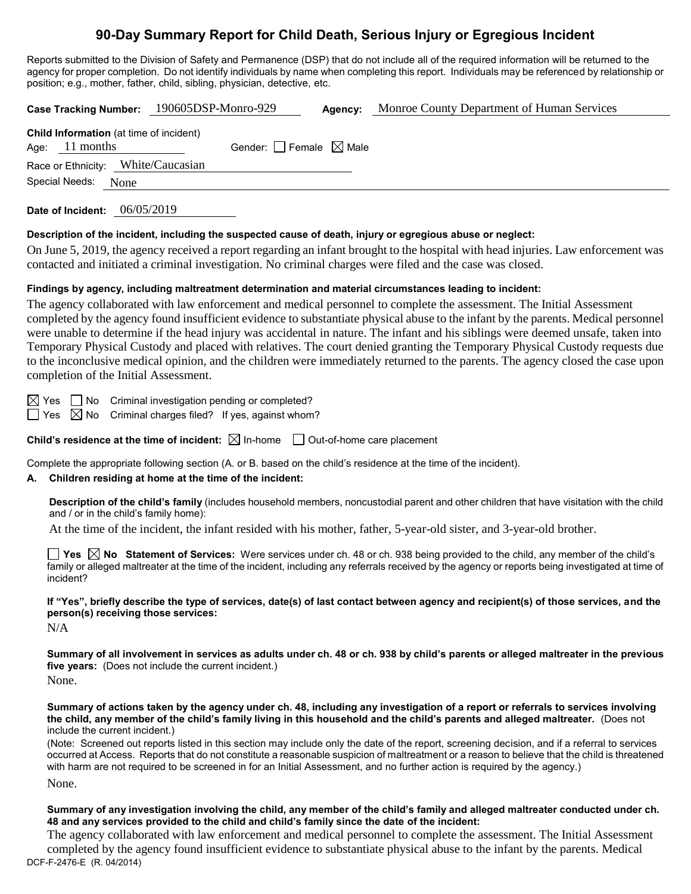# **90-Day Summary Report for Child Death, Serious Injury or Egregious Incident**

Reports submitted to the Division of Safety and Permanence (DSP) that do not include all of the required information will be returned to the agency for proper completion. Do not identify individuals by name when completing this report. Individuals may be referenced by relationship or position; e.g., mother, father, child, sibling, physician, detective, etc.

|                                                                    | Case Tracking Number: 190605DSP-Monro-929 | Agency: | Monroe County Department of Human Services |
|--------------------------------------------------------------------|-------------------------------------------|---------|--------------------------------------------|
| <b>Child Information</b> (at time of incident)<br>Age: $11$ months | Gender: $ $ Female $\boxtimes$ Male       |         |                                            |
| Race or Ethnicity: White/Caucasian<br>Special Needs: None          |                                           |         |                                            |
|                                                                    |                                           |         |                                            |

**Date of Incident:** 06/05/2019

#### **Description of the incident, including the suspected cause of death, injury or egregious abuse or neglect:**

On June 5, 2019, the agency received a report regarding an infant brought to the hospital with head injuries. Law enforcement was contacted and initiated a criminal investigation. No criminal charges were filed and the case was closed.

#### **Findings by agency, including maltreatment determination and material circumstances leading to incident:**

The agency collaborated with law enforcement and medical personnel to complete the assessment. The Initial Assessment completed by the agency found insufficient evidence to substantiate physical abuse to the infant by the parents. Medical personnel were unable to determine if the head injury was accidental in nature. The infant and his siblings were deemed unsafe, taken into Temporary Physical Custody and placed with relatives. The court denied granting the Temporary Physical Custody requests due to the inconclusive medical opinion, and the children were immediately returned to the parents. The agency closed the case upon completion of the Initial Assessment.

 $\boxtimes$  Yes  $\Box$  No Criminal investigation pending or completed?

 $\Box$  Yes  $\boxtimes$  No Criminal charges filed? If yes, against whom?

**Child's residence at the time of incident:**  $\boxtimes$  In-home  $\Box$  Out-of-home care placement

Complete the appropriate following section (A. or B. based on the child's residence at the time of the incident).

#### **A. Children residing at home at the time of the incident:**

**Description of the child's family** (includes household members, noncustodial parent and other children that have visitation with the child and / or in the child's family home):

At the time of the incident, the infant resided with his mother, father, 5-year-old sister, and 3-year-old brother.

**Yes No Statement of Services:** Were services under ch. 48 or ch. 938 being provided to the child, any member of the child's family or alleged maltreater at the time of the incident, including any referrals received by the agency or reports being investigated at time of incident?

**If "Yes", briefly describe the type of services, date(s) of last contact between agency and recipient(s) of those services, and the person(s) receiving those services:**

N/A

**Summary of all involvement in services as adults under ch. 48 or ch. 938 by child's parents or alleged maltreater in the previous five years:** (Does not include the current incident.)

None.

**Summary of actions taken by the agency under ch. 48, including any investigation of a report or referrals to services involving the child, any member of the child's family living in this household and the child's parents and alleged maltreater.** (Does not include the current incident.)

(Note: Screened out reports listed in this section may include only the date of the report, screening decision, and if a referral to services occurred at Access. Reports that do not constitute a reasonable suspicion of maltreatment or a reason to believe that the child is threatened with harm are not required to be screened in for an Initial Assessment, and no further action is required by the agency.) None.

**Summary of any investigation involving the child, any member of the child's family and alleged maltreater conducted under ch. 48 and any services provided to the child and child's family since the date of the incident:**

DCF-F-2476-E (R. 04/2014) The agency collaborated with law enforcement and medical personnel to complete the assessment. The Initial Assessment completed by the agency found insufficient evidence to substantiate physical abuse to the infant by the parents. Medical